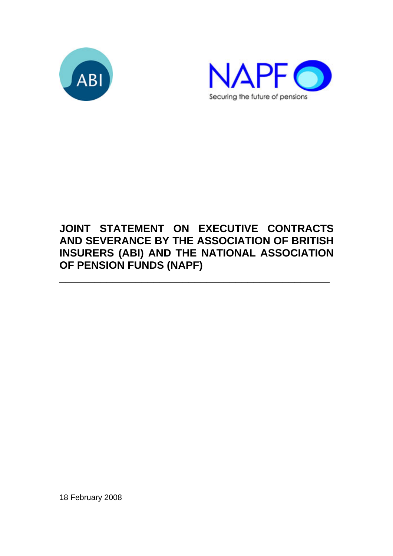



# **JOINT STATEMENT ON EXECUTIVE CONTRACTS AND SEVERANCE BY THE ASSOCIATION OF BRITISH INSURERS (ABI) AND THE NATIONAL ASSOCIATION OF PENSION FUNDS (NAPF)**

\_\_\_\_\_\_\_\_\_\_\_\_\_\_\_\_\_\_\_\_\_\_\_\_\_\_\_\_\_\_\_\_\_\_\_\_\_\_\_\_\_\_\_\_\_\_

18 February 2008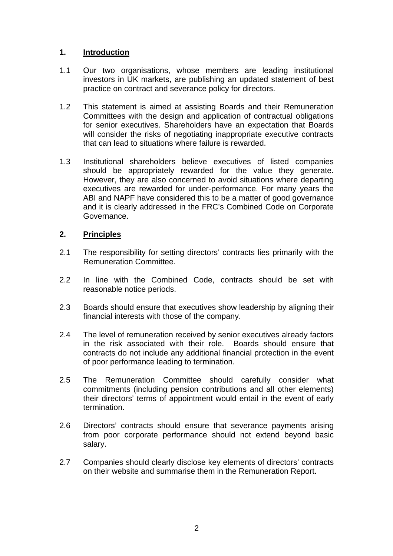# **1. Introduction**

- 1.1 Our two organisations, whose members are leading institutional investors in UK markets, are publishing an updated statement of best practice on contract and severance policy for directors.
- 1.2 This statement is aimed at assisting Boards and their Remuneration Committees with the design and application of contractual obligations for senior executives. Shareholders have an expectation that Boards will consider the risks of negotiating inappropriate executive contracts that can lead to situations where failure is rewarded.
- 1.3 Institutional shareholders believe executives of listed companies should be appropriately rewarded for the value they generate. However, they are also concerned to avoid situations where departing executives are rewarded for under-performance. For many years the ABI and NAPF have considered this to be a matter of good governance and it is clearly addressed in the FRC's Combined Code on Corporate Governance.

# **2. Principles**

- 2.1 The responsibility for setting directors' contracts lies primarily with the Remuneration Committee.
- 2.2 In line with the Combined Code, contracts should be set with reasonable notice periods.
- 2.3 Boards should ensure that executives show leadership by aligning their financial interests with those of the company.
- 2.4 The level of remuneration received by senior executives already factors in the risk associated with their role. Boards should ensure that contracts do not include any additional financial protection in the event of poor performance leading to termination.
- 2.5 The Remuneration Committee should carefully consider what commitments (including pension contributions and all other elements) their directors' terms of appointment would entail in the event of early termination.
- 2.6 Directors' contracts should ensure that severance payments arising from poor corporate performance should not extend beyond basic salary.
- 2.7 Companies should clearly disclose key elements of directors' contracts on their website and summarise them in the Remuneration Report.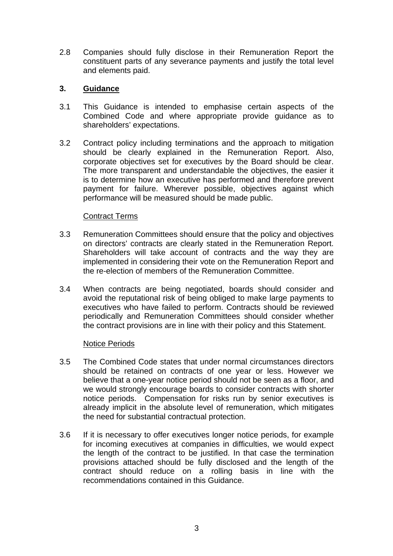2.8 Companies should fully disclose in their Remuneration Report the constituent parts of any severance payments and justify the total level and elements paid.

## **3. Guidance**

- 3.1 This Guidance is intended to emphasise certain aspects of the Combined Code and where appropriate provide guidance as to shareholders' expectations.
- 3.2 Contract policy including terminations and the approach to mitigation should be clearly explained in the Remuneration Report. Also, corporate objectives set for executives by the Board should be clear. The more transparent and understandable the objectives, the easier it is to determine how an executive has performed and therefore prevent payment for failure. Wherever possible, objectives against which performance will be measured should be made public.

## Contract Terms

- 3.3 Remuneration Committees should ensure that the policy and objectives on directors' contracts are clearly stated in the Remuneration Report. Shareholders will take account of contracts and the way they are implemented in considering their vote on the Remuneration Report and the re-election of members of the Remuneration Committee.
- 3.4 When contracts are being negotiated, boards should consider and avoid the reputational risk of being obliged to make large payments to executives who have failed to perform. Contracts should be reviewed periodically and Remuneration Committees should consider whether the contract provisions are in line with their policy and this Statement.

#### Notice Periods

- 3.5 The Combined Code states that under normal circumstances directors should be retained on contracts of one year or less. However we believe that a one-year notice period should not be seen as a floor, and we would strongly encourage boards to consider contracts with shorter notice periods. Compensation for risks run by senior executives is already implicit in the absolute level of remuneration, which mitigates the need for substantial contractual protection.
- 3.6 If it is necessary to offer executives longer notice periods, for example for incoming executives at companies in difficulties, we would expect the length of the contract to be justified. In that case the termination provisions attached should be fully disclosed and the length of the contract should reduce on a rolling basis in line with the recommendations contained in this Guidance.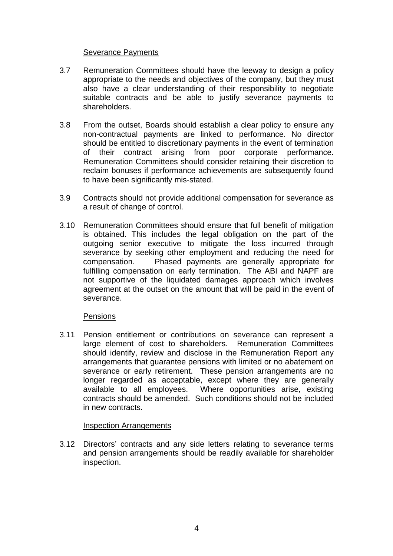#### Severance Payments

- 3.7 Remuneration Committees should have the leeway to design a policy appropriate to the needs and objectives of the company, but they must also have a clear understanding of their responsibility to negotiate suitable contracts and be able to justify severance payments to shareholders.
- 3.8 From the outset, Boards should establish a clear policy to ensure any non-contractual payments are linked to performance. No director should be entitled to discretionary payments in the event of termination of their contract arising from poor corporate performance. Remuneration Committees should consider retaining their discretion to reclaim bonuses if performance achievements are subsequently found to have been significantly mis-stated.
- 3.9 Contracts should not provide additional compensation for severance as a result of change of control.
- 3.10 Remuneration Committees should ensure that full benefit of mitigation is obtained. This includes the legal obligation on the part of the outgoing senior executive to mitigate the loss incurred through severance by seeking other employment and reducing the need for compensation. Phased payments are generally appropriate for fulfilling compensation on early termination. The ABI and NAPF are not supportive of the liquidated damages approach which involves agreement at the outset on the amount that will be paid in the event of severance.

#### Pensions

3.11 Pension entitlement or contributions on severance can represent a large element of cost to shareholders. Remuneration Committees should identify, review and disclose in the Remuneration Report any arrangements that guarantee pensions with limited or no abatement on severance or early retirement. These pension arrangements are no longer regarded as acceptable, except where they are generally available to all employees. Where opportunities arise, existing contracts should be amended. Such conditions should not be included in new contracts.

#### Inspection Arrangements

3.12 Directors' contracts and any side letters relating to severance terms and pension arrangements should be readily available for shareholder inspection.